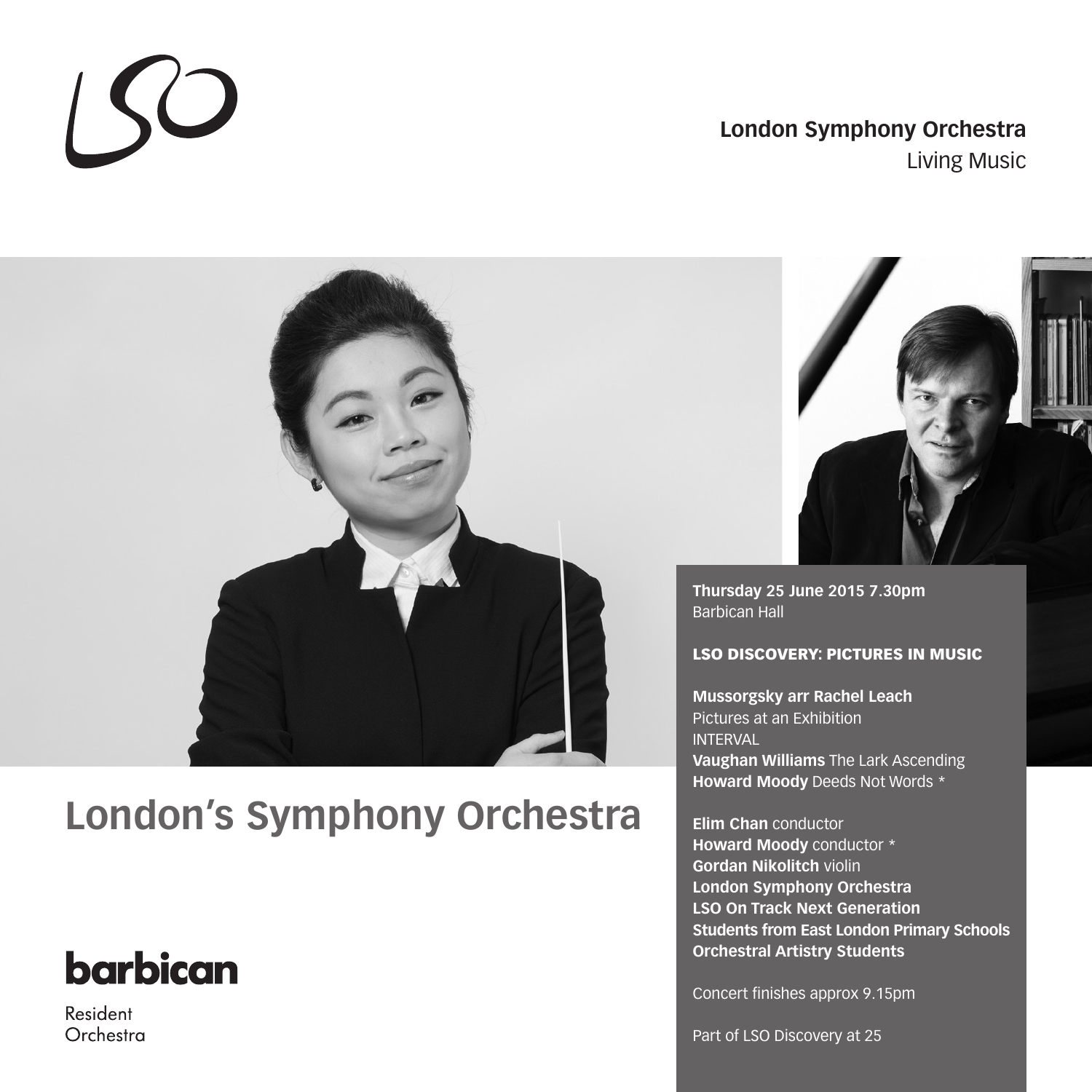### **London Symphony Orchestra** Living Music

# **London's Symphony Orchestra**

# **barbican**

 $\sqrt{2}$ 

Resident Orchestra



**Thursday 25 June 2015 7.30pm** Barbican Hall

#### LSO DISCOVERY: PICTURES IN MUSIC

**Mussorgsky arr Rachel Leach** Pictures at an Exhibition INTERVAL **Vaughan Williams** The Lark Ascending **Howard Moody** Deeds Not Words \*

**Elim Chan** conductor **Howard Moody** conductor \* **Gordan Nikolitch** violin **London Symphony Orchestra LSO On Track Next Generation Students from East London Primary Schools Orchestral Artistry Students**

Concert finishes approx 9.15pm

Part of LSO Discovery at 25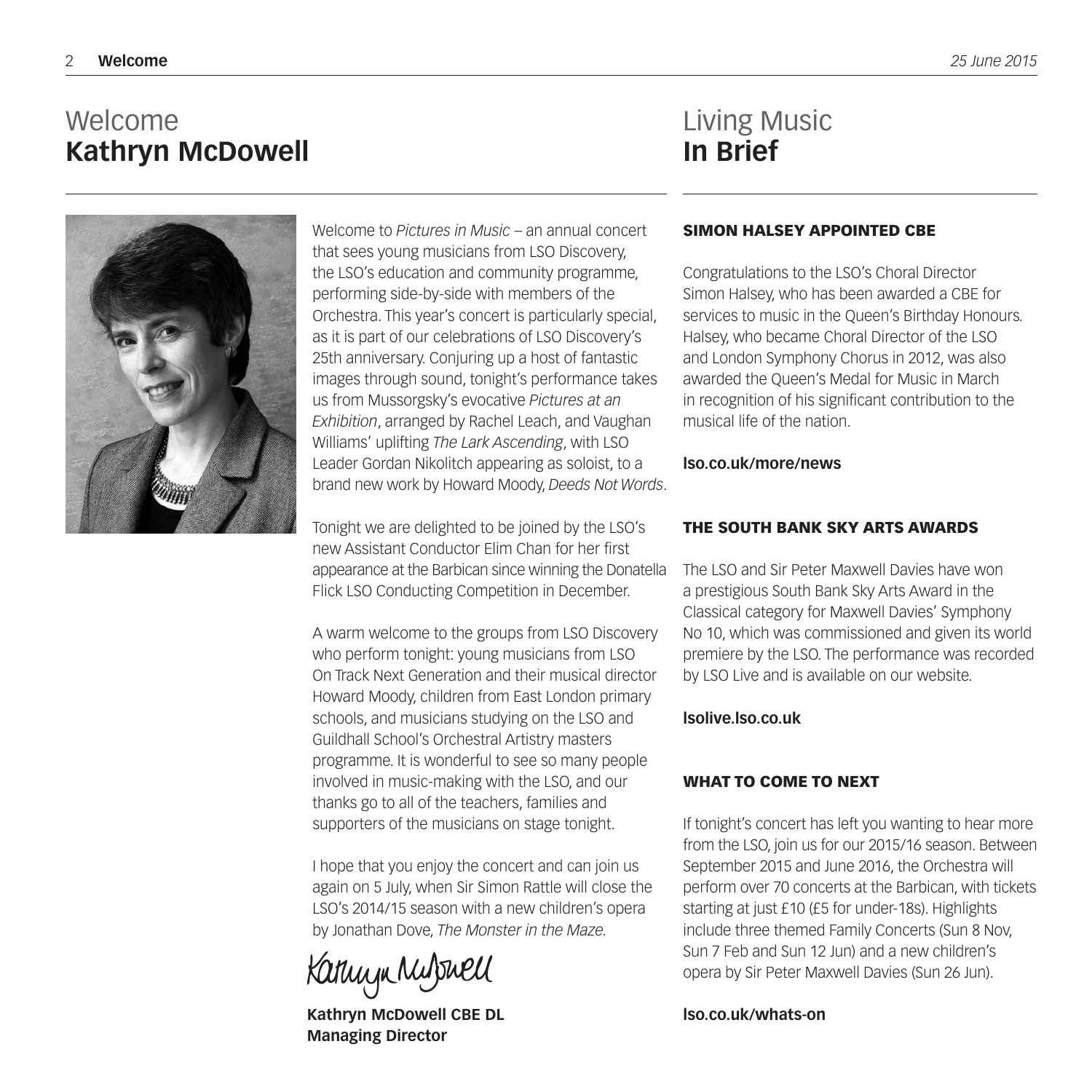### Welcome **Kathryn McDowell**

### Living Music **In Brief**



Welcome to *Pictures in Music* – an annual concert that sees young musicians from LSO Discovery, the LSO's education and community programme, performing side-by-side with members of the Orchestra. This year's concert is particularly special, as it is part of our celebrations of LSO Discovery's 25th anniversary. Conjuring up a host of fantastic images through sound, tonight's performance takes us from Mussorgsky's evocative *Pictures at an Exhibition*, arranged by Rachel Leach, and Vaughan Williams' uplifting *The Lark Ascending*, with LSO Leader Gordan Nikolitch appearing as soloist, to a brand new work by Howard Moody, *Deeds Not Words*.

Tonight we are delighted to be joined by the LSO's new Assistant Conductor Elim Chan for her first appearance at the Barbican since winning the Donatella Flick LSO Conducting Competition in December.

A warm welcome to the groups from LSO Discovery who perform tonight: young musicians from LSO On Track Next Generation and their musical director Howard Moody, children from East London primary schools, and musicians studying on the LSO and Guildhall School's Orchestral Artistry masters programme. It is wonderful to see so many people involved in music-making with the LSO, and our thanks go to all of the teachers, families and supporters of the musicians on stage tonight.

I hope that you enjoy the concert and can join us again on 5 July, when Sir Simon Rattle will close the LSO's 2014/15 season with a new children's opera by Jonathan Dove, *The Monster in the Maze.*

Kannyn Mulphell

**Kathryn McDowell CBE DL Managing Director**

#### SIMON HALSEY APPOINTED CBE

Congratulations to the LSO's Choral Director Simon Halsey, who has been awarded a CBE for services to music in the Queen's Birthday Honours. Halsey, who became Choral Director of the LSO and London Symphony Chorus in 2012, was also awarded the Queen's Medal for Music in March in recognition of his significant contribution to the musical life of the nation.

#### **lso.co.uk/more/news**

#### THE SOUTH BANK SKY ARTS AWARDS

The LSO and Sir Peter Maxwell Davies have won a prestigious South Bank Sky Arts Award in the Classical category for Maxwell Davies' Symphony No 10, which was commissioned and given its world premiere by the LSO. The performance was recorded by LSO Live and is available on our website.

#### **lsolive.lso.co.uk**

#### WHAT TO COME TO NEXT

If tonight's concert has left you wanting to hear more from the LSO, join us for our 2015/16 season. Between September 2015 and June 2016, the Orchestra will perform over 70 concerts at the Barbican, with tickets starting at just £10 (£5 for under-18s). Highlights include three themed Family Concerts (Sun 8 Nov, Sun 7 Feb and Sun 12 Jun) and a new children's opera by Sir Peter Maxwell Davies (Sun 26 Jun).

#### **lso.co.uk/whats-on**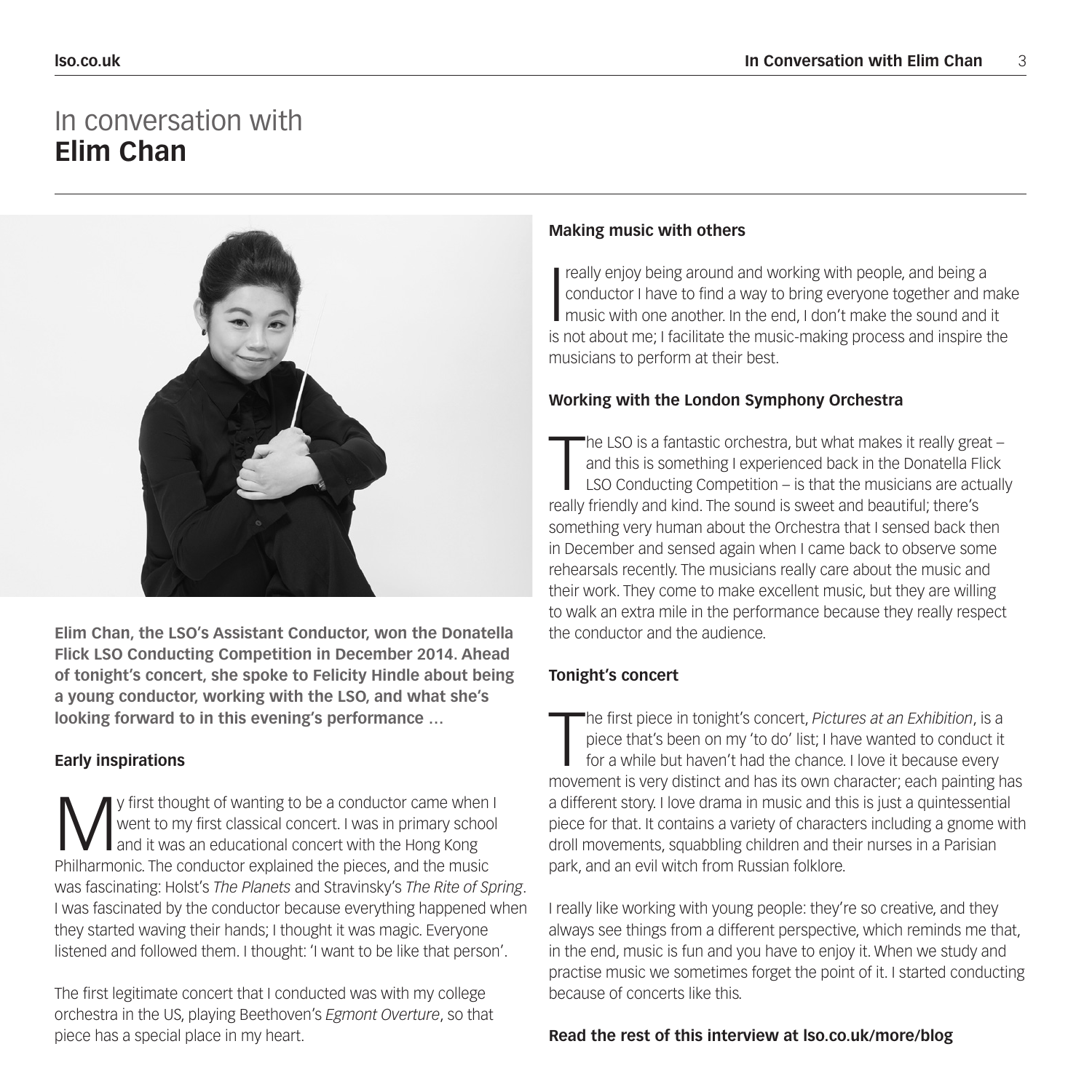### In conversation with **Elim Chan**



**Elim Chan, the LSO's Assistant Conductor, won the Donatella Flick LSO Conducting Competition in December 2014. Ahead of tonight's concert, she spoke to Felicity Hindle about being a young conductor, working with the LSO, and what she's looking forward to in this evening's performance …**

#### **Early inspirations**

**M** y first thought of wanting to be a conductor came when I<br>went to my first classical concert. I was in primary school<br>and it was an educational concert with the Hong Kong<br>philharmonic. The conductor evaluated the pieces went to my first classical concert. I was in primary school and it was an educational concert with the Hong Kong Philharmonic. The conductor explained the pieces, and the music was fascinating: Holst's *The Planets* and Stravinsky's *The Rite of Spring*. I was fascinated by the conductor because everything happened when they started waving their hands; I thought it was magic. Everyone listened and followed them. I thought: 'I want to be like that person'.

The first legitimate concert that I conducted was with my college orchestra in the US, playing Beethoven's *Egmont Overture*, so that piece has a special place in my heart.

### **Making music with others**

I really enjoy being around and working with people, and being a<br>conductor I have to find a way to bring everyone together and n<br>music with one another. In the end, I don't make the sound and<br>is not about mo: I focilitate conductor I have to find a way to bring everyone together and make music with one another. In the end, I don't make the sound and it is not about me; I facilitate the music-making process and inspire the musicians to perform at their best.

#### **Working with the London Symphony Orchestra**

The LSO is a fantastic orchestra, but what makes it really greand this is something I experienced back in the Donatella FI LSO Conducting Competition – is that the musicians are act really friendly and kind. The sound is s he LSO is a fantastic orchestra, but what makes it really great – and this is something I experienced back in the Donatella Flick LSO Conducting Competition – is that the musicians are actually something very human about the Orchestra that I sensed back then in December and sensed again when I came back to observe some rehearsals recently. The musicians really care about the music and their work. They come to make excellent music, but they are willing to walk an extra mile in the performance because they really respect the conductor and the audience.

#### **Tonight's concert**

The first piece in tonight's concert, Pictures at an Exhibition, is a piece that's been on my 'to do' list; I have wanted to conduct it for a while but haven't had the chance. I love it because every movement is very disti he first piece in tonight's concert, *Pictures at an Exhibition*, is a piece that's been on my 'to do' list; I have wanted to conduct it for a while but haven't had the chance. I love it because every a different story. I love drama in music and this is just a quintessential piece for that. It contains a variety of characters including a gnome with droll movements, squabbling children and their nurses in a Parisian park, and an evil witch from Russian folklore.

I really like working with young people: they're so creative, and they always see things from a different perspective, which reminds me that, in the end, music is fun and you have to enjoy it. When we study and practise music we sometimes forget the point of it. I started conducting because of concerts like this.

#### **Read the rest of this interview at lso.co.uk/more/blog**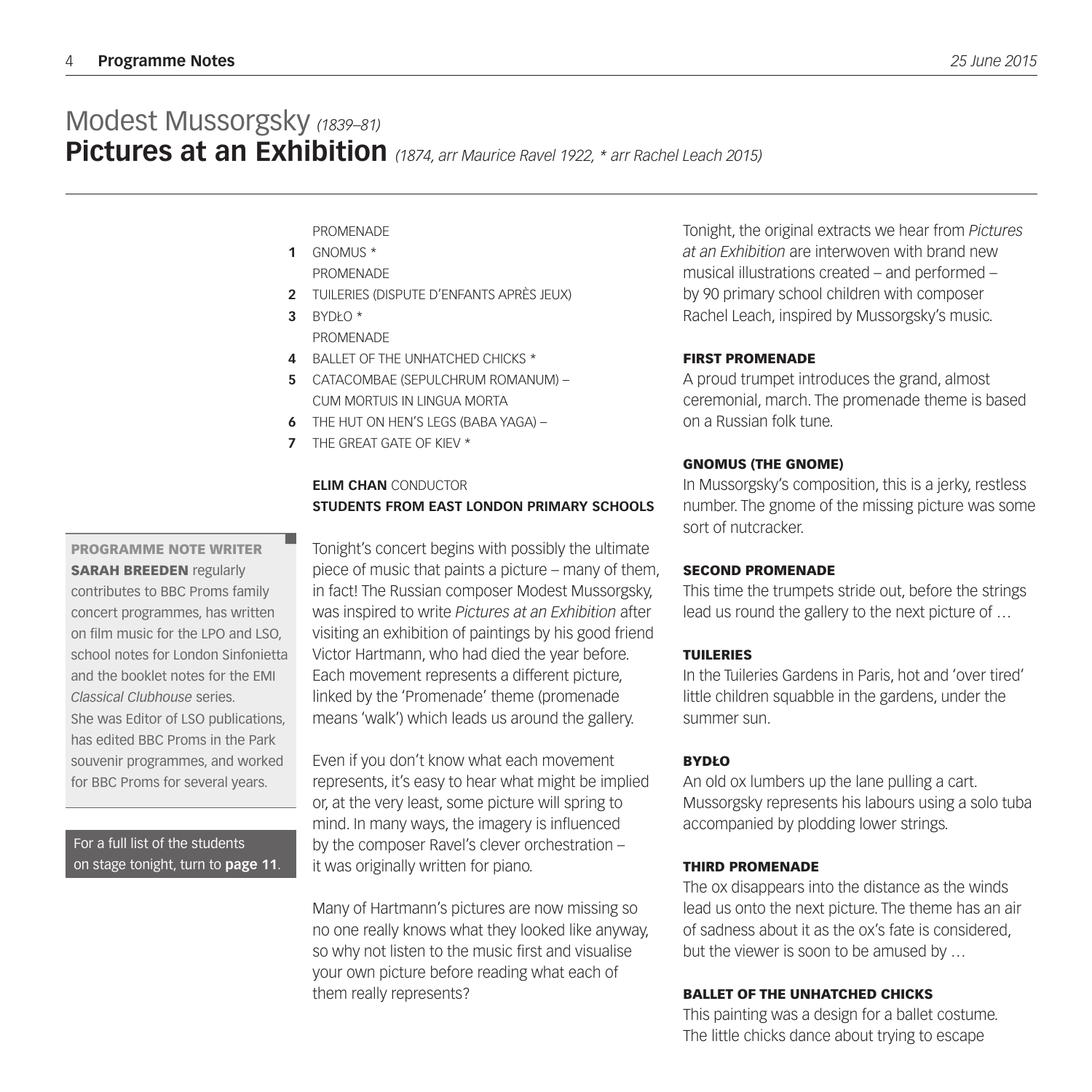PROMENADE

- GNOMUS \* **1 PROMENADE**
- TUILERIES (DISPUTE D'ENFANTS APRÈS JEUX) **2**
- BYDŁO \* **3 PROMENADE**
- BALLET OF THE UNHATCHED CHICKS \* **4**
- CATACOMBAE (SEPULCHRUM ROMANUM) **5** CUM MORTUIS IN LINGUA MORTA
- THE HUT ON HEN'S LEGS (BABA YAGA) **6**
- THE GREAT GATE OF KIEV \* **7**

#### **ELIM CHAN** CONDUCTOR **STUDENTS FROM EAST LONDON PRIMARY SCHOOLS**

#### PROGRAMME NOTE WRITER SARAH BREEDEN regularly contributes to BBC Proms family concert programmes, has written on film music for the LPO and LSO, school notes for London Sinfonietta and the booklet notes for the EMI *Classical Clubhouse* series. She was Editor of LSO publications, has edited BBC Proms in the Park souvenir programmes, and worked for BBC Proms for several years.

For a full list of the students on stage tonight, turn to **page 11**.

Tonight's concert begins with possibly the ultimate piece of music that paints a picture – many of them, in fact! The Russian composer Modest Mussorgsky, was inspired to write *Pictures at an Exhibition* after visiting an exhibition of paintings by his good friend Victor Hartmann, who had died the year before. Each movement represents a different picture, linked by the 'Promenade' theme (promenade means 'walk') which leads us around the gallery.

Even if you don't know what each movement represents, it's easy to hear what might be implied or, at the very least, some picture will spring to mind. In many ways, the imagery is influenced by the composer Ravel's clever orchestration – it was originally written for piano.

Many of Hartmann's pictures are now missing so no one really knows what they looked like anyway, so why not listen to the music first and visualise your own picture before reading what each of them really represents?

Tonight, the original extracts we hear from *Pictures at an Exhibition* are interwoven with brand new musical illustrations created – and performed – by 90 primary school children with composer Rachel Leach, inspired by Mussorgsky's music.

#### FIRST PROMENADE

A proud trumpet introduces the grand, almost ceremonial, march. The promenade theme is based on a Russian folk tune.

#### GNOMUS (THE GNOME)

In Mussorgsky's composition, this is a jerky, restless number. The gnome of the missing picture was some sort of nutcracker.

#### SECOND PROMENADE

This time the trumpets stride out, before the strings lead us round the gallery to the next picture of …

#### TUILERIES

In the Tuileries Gardens in Paris, hot and 'over tired' little children squabble in the gardens, under the summer sun.

#### BYDŁO

An old ox lumbers up the lane pulling a cart. Mussorgsky represents his labours using a solo tuba accompanied by plodding lower strings.

#### THIRD PROMENADE

The ox disappears into the distance as the winds lead us onto the next picture. The theme has an air of sadness about it as the ox's fate is considered, but the viewer is soon to be amused by …

#### BALLET OF THE UNHATCHED CHICKS

This painting was a design for a ballet costume. The little chicks dance about trying to escape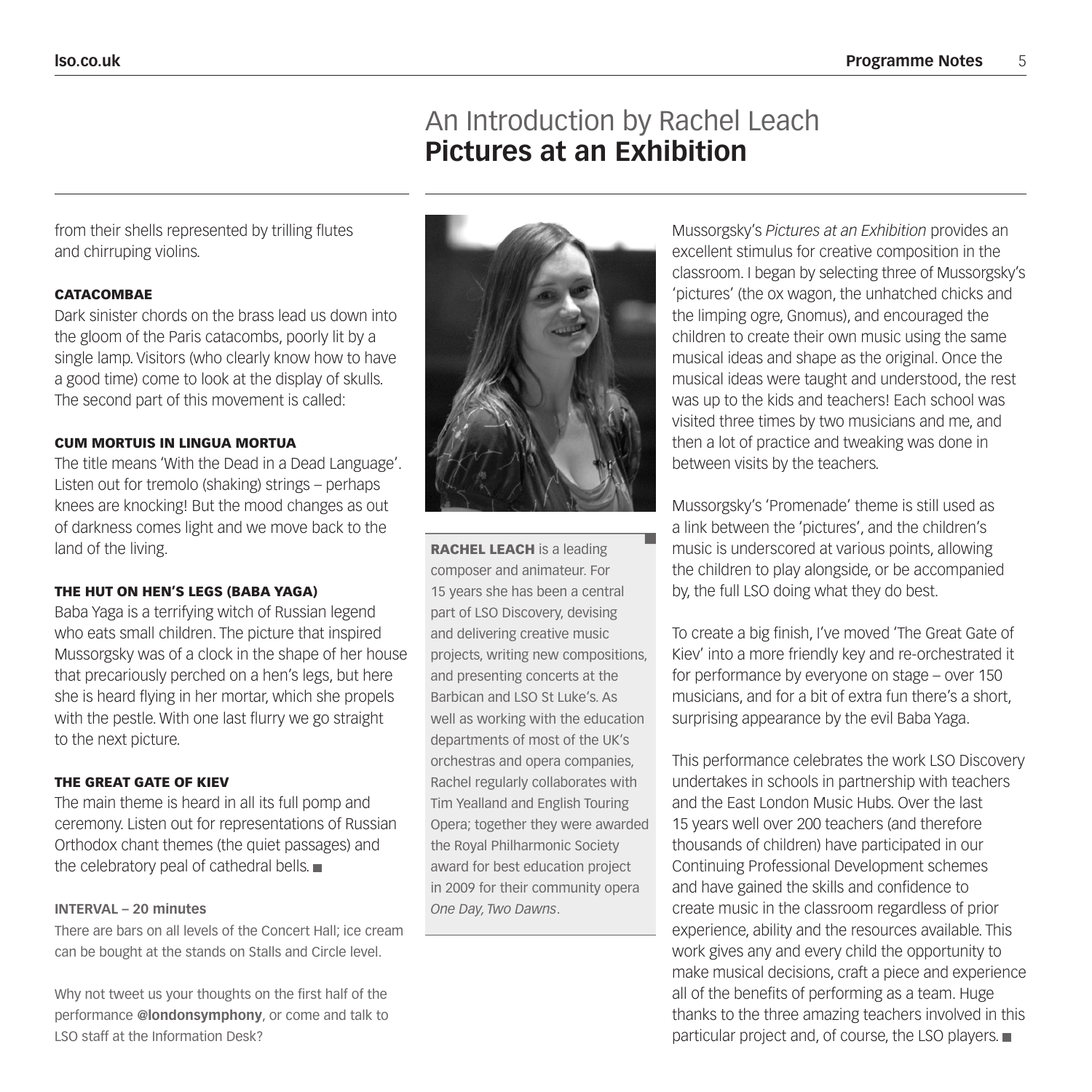### An Introduction by Rachel Leach **Pictures at an Exhibition**

from their shells represented by trilling flutes and chirruping violins.

#### **CATACOMBAE**

Dark sinister chords on the brass lead us down into the gloom of the Paris catacombs, poorly lit by a single lamp. Visitors (who clearly know how to have a good time) come to look at the display of skulls. The second part of this movement is called:

#### CUM MORTUIS IN LINGUA MORTUA

The title means 'With the Dead in a Dead Language'. Listen out for tremolo (shaking) strings – perhaps knees are knocking! But the mood changes as out of darkness comes light and we move back to the land of the living.

#### THE HUT ON HEN'S LEGS (BABA YAGA)

Baba Yaga is a terrifying witch of Russian legend who eats small children. The picture that inspired Mussorgsky was of a clock in the shape of her house that precariously perched on a hen's legs, but here she is heard flying in her mortar, which she propels with the pestle. With one last flurry we go straight to the next picture.

#### THE GREAT GATE OF KIEV

The main theme is heard in all its full pomp and ceremony. Listen out for representations of Russian Orthodox chant themes (the quiet passages) and the celebratory peal of cathedral bells.

#### **INTERVAL – 20 minutes**

There are bars on all levels of the Concert Hall; ice cream can be bought at the stands on Stalls and Circle level.

Why not tweet us your thoughts on the first half of the performance **@londonsymphony**, or come and talk to LSO staff at the Information Desk?



RACHEL LEACH is a leading composer and animateur. For 15 years she has been a central part of LSO Discovery, devising and delivering creative music projects, writing new compositions, and presenting concerts at the Barbican and LSO St Luke's. As well as working with the education departments of most of the UK's orchestras and opera companies, Rachel regularly collaborates with Tim Yealland and English Touring Opera; together they were awarded the Royal Philharmonic Society award for best education project in 2009 for their community opera *One Day, Two Dawns*.

Mussorgsky's *Pictures at an Exhibition* provides an excellent stimulus for creative composition in the classroom. I began by selecting three of Mussorgsky's 'pictures' (the ox wagon, the unhatched chicks and the limping ogre, Gnomus), and encouraged the children to create their own music using the same musical ideas and shape as the original. Once the musical ideas were taught and understood, the rest was up to the kids and teachers! Each school was visited three times by two musicians and me, and then a lot of practice and tweaking was done in between visits by the teachers.

Mussorgsky's 'Promenade' theme is still used as a link between the 'pictures', and the children's music is underscored at various points, allowing the children to play alongside, or be accompanied by, the full LSO doing what they do best.

To create a big finish, I've moved 'The Great Gate of Kiev' into a more friendly key and re-orchestrated it for performance by everyone on stage – over 150 musicians, and for a bit of extra fun there's a short, surprising appearance by the evil Baba Yaga.

This performance celebrates the work LSO Discovery undertakes in schools in partnership with teachers and the East London Music Hubs. Over the last 15 years well over 200 teachers (and therefore thousands of children) have participated in our Continuing Professional Development schemes and have gained the skills and confidence to create music in the classroom regardless of prior experience, ability and the resources available. This work gives any and every child the opportunity to make musical decisions, craft a piece and experience all of the benefits of performing as a team. Huge thanks to the three amazing teachers involved in this particular project and, of course, the LSO players.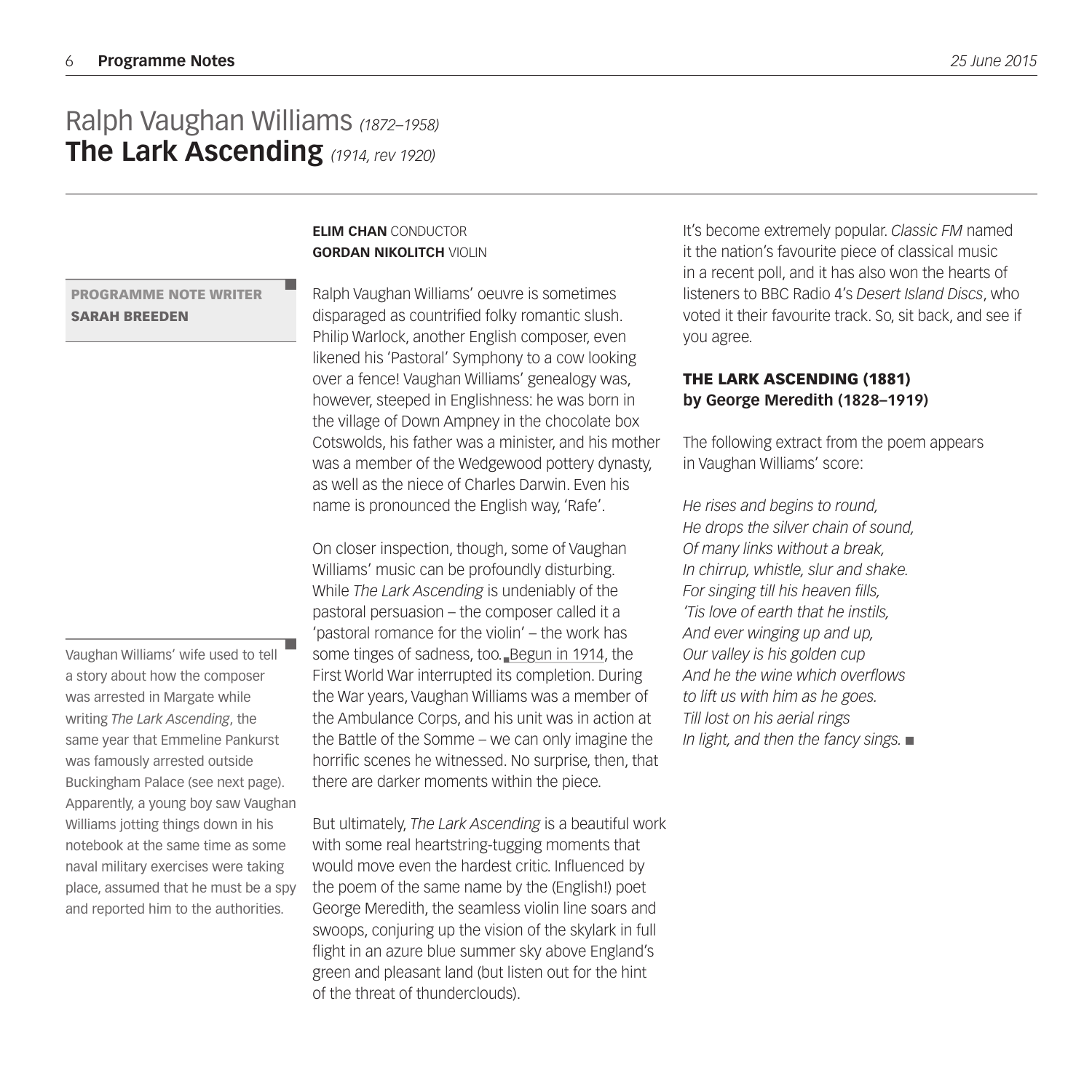### Ralph Vaughan Williams *(1872–1958)* **The Lark Ascending** *(1914, rev 1920)*

#### **ELIM CHAN** CONDUCTOR **GORDAN NIKOLITCH** VIOLIN

PROGRAMME NOTE WRITER SARAH BREEDEN

Vaughan Williams' wife used to tell a story about how the composer was arrested in Margate while writing *The Lark Ascending*, the same year that Emmeline Pankurst was famously arrested outside Buckingham Palace (see next page). Apparently, a young boy saw Vaughan Williams jotting things down in his notebook at the same time as some naval military exercises were taking place, assumed that he must be a spy and reported him to the authorities.

### Ralph Vaughan Williams' oeuvre is sometimes disparaged as countrified folky romantic slush. Philip Warlock, another English composer, even likened his 'Pastoral' Symphony to a cow looking over a fence! Vaughan Williams' genealogy was,

however, steeped in Englishness: he was born in the village of Down Ampney in the chocolate box Cotswolds, his father was a minister, and his mother was a member of the Wedgewood pottery dynasty, as well as the niece of Charles Darwin. Even his name is pronounced the English way, 'Rafe'.

On closer inspection, though, some of Vaughan Williams' music can be profoundly disturbing. While *The Lark Ascending* is undeniably of the pastoral persuasion – the composer called it a 'pastoral romance for the violin' – the work has some tinges of sadness, too. Begun in 1914, the First World War interrupted its completion. During the War years, Vaughan Williams was a member of the Ambulance Corps, and his unit was in action at the Battle of the Somme – we can only imagine the horrific scenes he witnessed. No surprise, then, that there are darker moments within the piece.

But ultimately, *The Lark Ascending* is a beautiful work with some real heartstring-tugging moments that would move even the hardest critic. Influenced by the poem of the same name by the (English!) poet George Meredith, the seamless violin line soars and swoops, conjuring up the vision of the skylark in full flight in an azure blue summer sky above England's green and pleasant land (but listen out for the hint of the threat of thunderclouds).

It's become extremely popular. *Classic FM* named it the nation's favourite piece of classical music in a recent poll, and it has also won the hearts of listeners to BBC Radio 4's *Desert Island Discs*, who voted it their favourite track. So, sit back, and see if you agree.

#### THE LARK ASCENDING (1881) **by George Meredith (1828–1919)**

The following extract from the poem appears in Vaughan Williams' score:

*He rises and begins to round, He drops the silver chain of sound, Of many links without a break, In chirrup, whistle, slur and shake. For singing till his heaven fills, 'Tis love of earth that he instils, And ever winging up and up, Our valley is his golden cup And he the wine which overflows to lift us with him as he goes. Till lost on his aerial rings In light, and then the fancy sings.*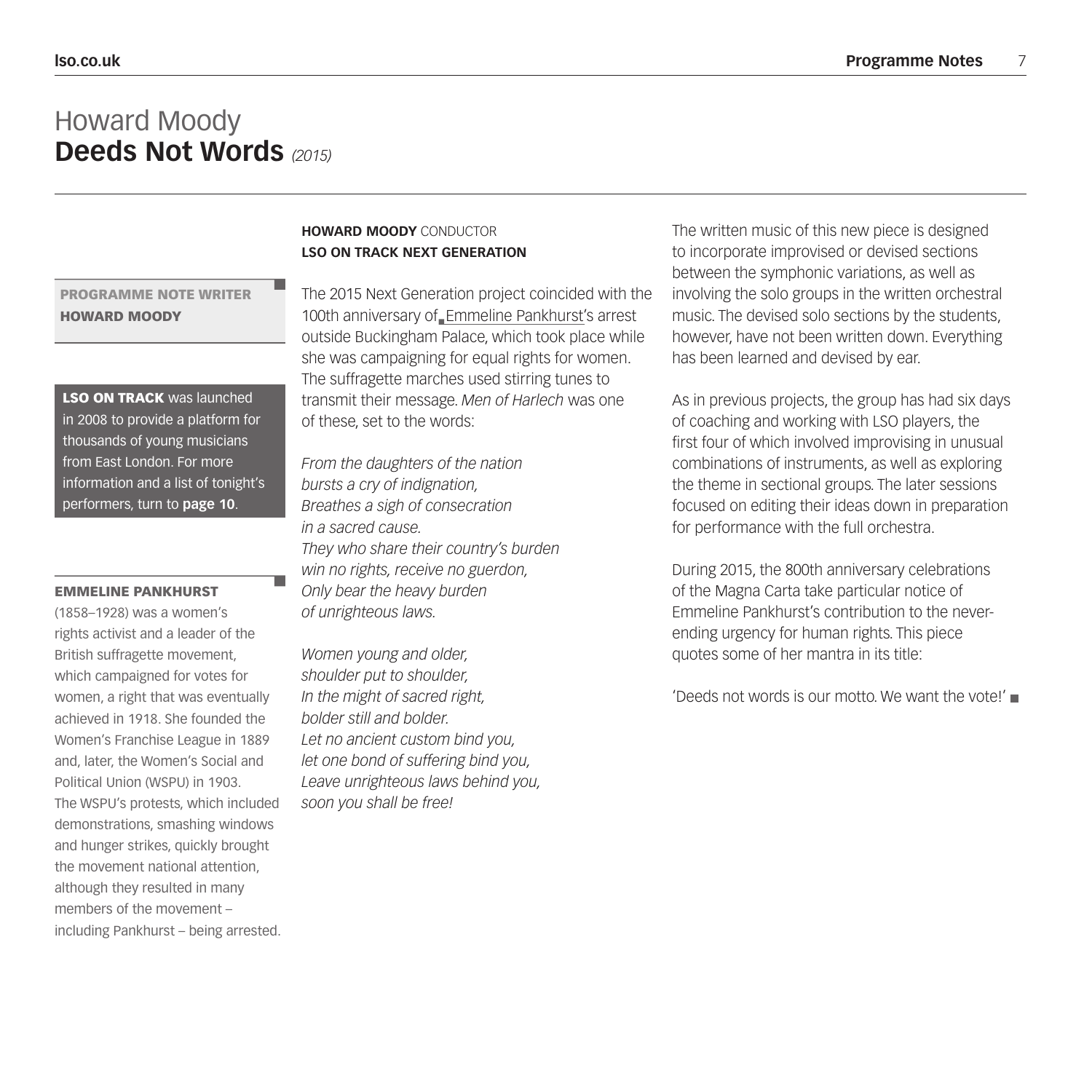### Howard Moody **Deeds Not Words** *(2015)*

#### PROGRAMME NOTE WRITER HOWARD MOODY

**LSO ON TRACK was launched** in 2008 to provide a platform for thousands of young musicians from East London. For more information and a list of tonight's performers, turn to **page 10**.

#### EMMELINE PANKHURST

(1858–1928) was a women's rights activist and a leader of the British suffragette movement, which campaigned for votes for women, a right that was eventually achieved in 1918. She founded the Women's Franchise League in 1889 and, later, the Women's Social and Political Union (WSPU) in 1903. The WSPU's protests, which included demonstrations, smashing windows and hunger strikes, quickly brought the movement national attention, although they resulted in many members of the movement – including Pankhurst – being arrested.

#### **HOWARD MOODY** CONDUCTOR **LSO ON TRACK NEXT GENERATION**

The 2015 Next Generation project coincided with the 100th anniversary of Emmeline Pankhurst's arrest outside Buckingham Palace, which took place while she was campaigning for equal rights for women. The suffragette marches used stirring tunes to transmit their message. *Men of Harlech* was one of these, set to the words:

*From the daughters of the nation bursts a cry of indignation, Breathes a sigh of consecration in a sacred cause. They who share their country's burden win no rights, receive no guerdon, Only bear the heavy burden of unrighteous laws.*

*Women young and older, shoulder put to shoulder, In the might of sacred right, bolder still and bolder. Let no ancient custom bind you, let one bond of suffering bind you, Leave unrighteous laws behind you, soon you shall be free!*

The written music of this new piece is designed to incorporate improvised or devised sections between the symphonic variations, as well as involving the solo groups in the written orchestral music. The devised solo sections by the students, however, have not been written down. Everything has been learned and devised by ear.

As in previous projects, the group has had six days of coaching and working with LSO players, the first four of which involved improvising in unusual combinations of instruments, as well as exploring the theme in sectional groups. The later sessions focused on editing their ideas down in preparation for performance with the full orchestra.

During 2015, the 800th anniversary celebrations of the Magna Carta take particular notice of Emmeline Pankhurst's contribution to the neverending urgency for human rights. This piece quotes some of her mantra in its title:

'Deeds not words is our motto. We want the vote!'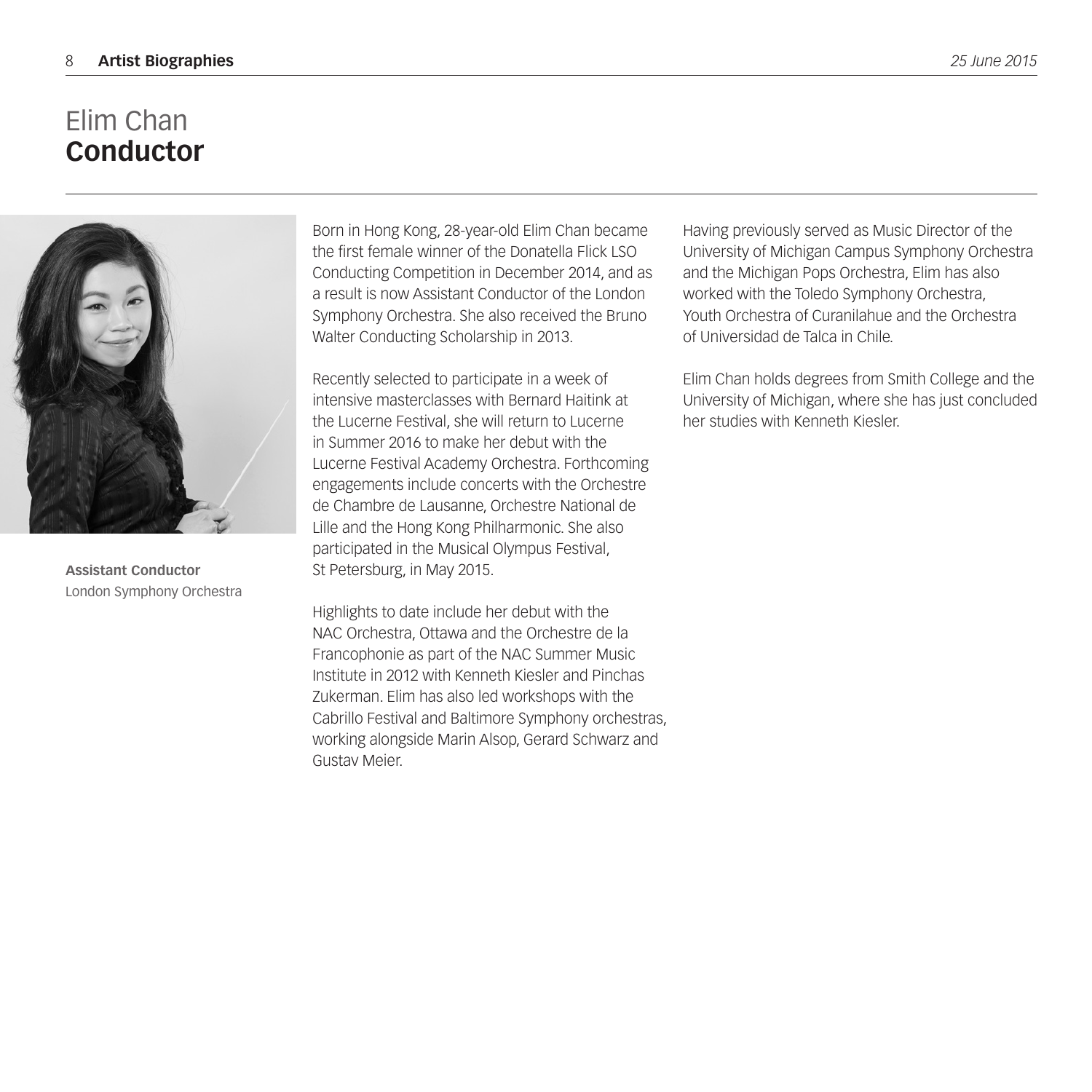## Elim Chan **Conductor**



**Assistant Conductor** London Symphony Orchestra

Born in Hong Kong, 28-year-old Elim Chan became the first female winner of the Donatella Flick LSO Conducting Competition in December 2014, and as a result is now Assistant Conductor of the London Symphony Orchestra. She also received the Bruno Walter Conducting Scholarship in 2013.

Recently selected to participate in a week of intensive masterclasses with Bernard Haitink at the Lucerne Festival, she will return to Lucerne in Summer 2016 to make her debut with the Lucerne Festival Academy Orchestra. Forthcoming engagements include concerts with the Orchestre de Chambre de Lausanne, Orchestre National de Lille and the Hong Kong Philharmonic. She also participated in the Musical Olympus Festival, St Petersburg, in May 2015.

Highlights to date include her debut with the NAC Orchestra, Ottawa and the Orchestre de la Francophonie as part of the NAC Summer Music Institute in 2012 with Kenneth Kiesler and Pinchas Zukerman. Elim has also led workshops with the Cabrillo Festival and Baltimore Symphony orchestras, working alongside Marin Alsop, Gerard Schwarz and Gustav Meier.

Having previously served as Music Director of the University of Michigan Campus Symphony Orchestra and the Michigan Pops Orchestra, Elim has also worked with the Toledo Symphony Orchestra, Youth Orchestra of Curanilahue and the Orchestra of Universidad de Talca in Chile.

Elim Chan holds degrees from Smith College and the University of Michigan, where she has just concluded her studies with Kenneth Kiesler.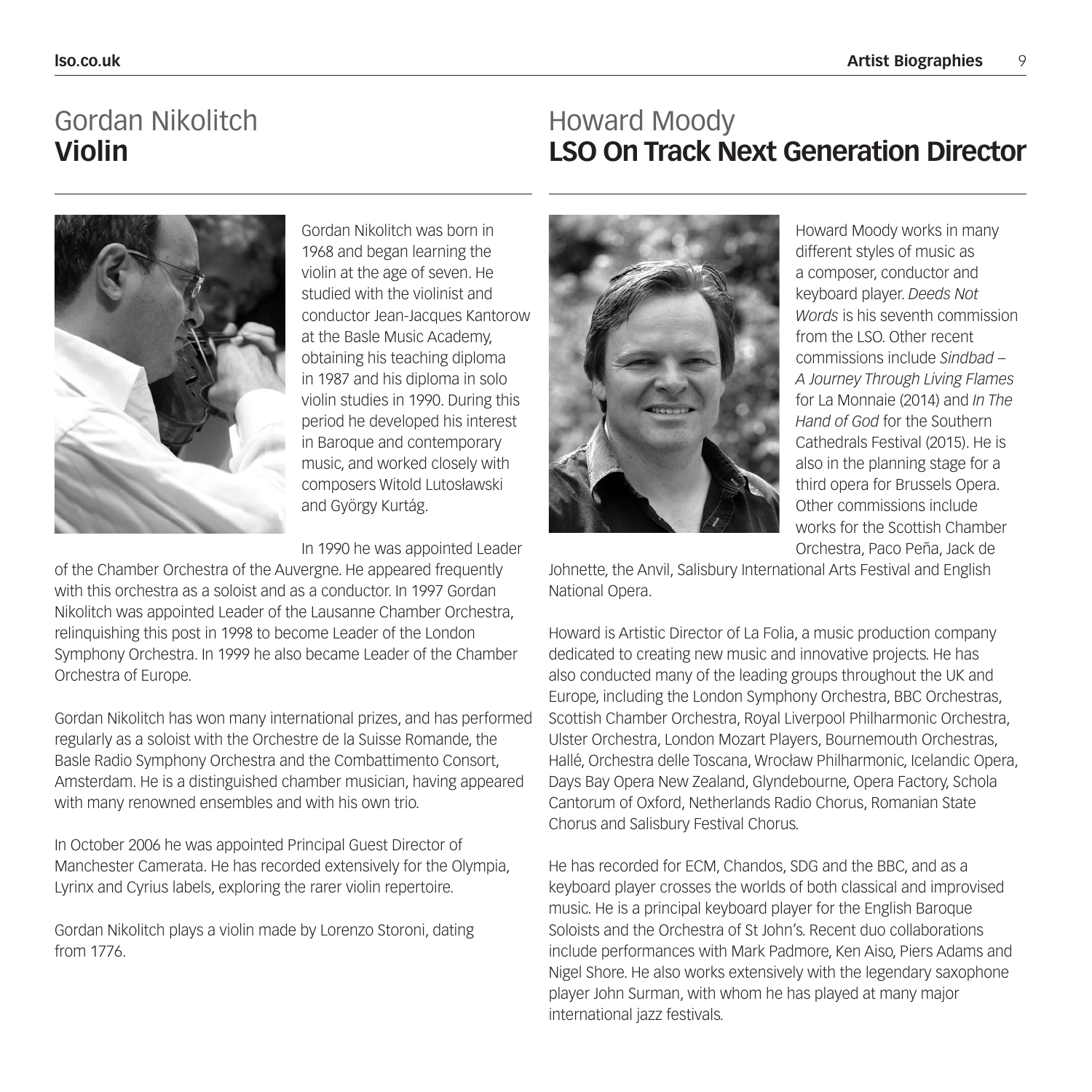## Gordan Nikolitch **Violin**

### Howard Moody **LSO On Track Next Generation Director**



Gordan Nikolitch was born in 1968 and began learning the violin at the age of seven. He studied with the violinist and conductor Jean-Jacques Kantorow at the Basle Music Academy, obtaining his teaching diploma in 1987 and his diploma in solo violin studies in 1990. During this period he developed his interest in Baroque and contemporary music, and worked closely with composers Witold Lutosławski and György Kurtág.

In 1990 he was appointed Leader

of the Chamber Orchestra of the Auvergne. He appeared frequently with this orchestra as a soloist and as a conductor. In 1997 Gordan Nikolitch was appointed Leader of the Lausanne Chamber Orchestra, relinquishing this post in 1998 to become Leader of the London Symphony Orchestra. In 1999 he also became Leader of the Chamber Orchestra of Europe.

Gordan Nikolitch has won many international prizes, and has performed regularly as a soloist with the Orchestre de la Suisse Romande, the Basle Radio Symphony Orchestra and the Combattimento Consort, Amsterdam. He is a distinguished chamber musician, having appeared with many renowned ensembles and with his own trio.

In October 2006 he was appointed Principal Guest Director of Manchester Camerata. He has recorded extensively for the Olympia, Lyrinx and Cyrius labels, exploring the rarer violin repertoire.

Gordan Nikolitch plays a violin made by Lorenzo Storoni, dating from 1776.



Howard Moody works in many different styles of music as a composer, conductor and keyboard player. *Deeds Not Words* is his seventh commission from the LSO. Other recent commissions include *Sindbad – A Journey Through Living Flames*  for La Monnaie (2014) and *In The Hand of God* for the Southern Cathedrals Festival (2015). He is also in the planning stage for a third opera for Brussels Opera. Other commissions include works for the Scottish Chamber Orchestra, Paco Peña, Jack de

Johnette, the Anvil, Salisbury International Arts Festival and English National Opera.

Howard is Artistic Director of La Folia, a music production company dedicated to creating new music and innovative projects. He has also conducted many of the leading groups throughout the UK and Europe, including the London Symphony Orchestra, BBC Orchestras, Scottish Chamber Orchestra, Royal Liverpool Philharmonic Orchestra, Ulster Orchestra, London Mozart Players, Bournemouth Orchestras, Hallé, Orchestra delle Toscana, Wrocław Philharmonic, Icelandic Opera, Days Bay Opera New Zealand, Glyndebourne, Opera Factory, Schola Cantorum of Oxford, Netherlands Radio Chorus, Romanian State Chorus and Salisbury Festival Chorus.

He has recorded for ECM, Chandos, SDG and the BBC, and as a keyboard player crosses the worlds of both classical and improvised music. He is a principal keyboard player for the English Baroque Soloists and the Orchestra of St John's. Recent duo collaborations include performances with Mark Padmore, Ken Aiso, Piers Adams and Nigel Shore. He also works extensively with the legendary saxophone player John Surman, with whom he has played at many major international jazz festivals.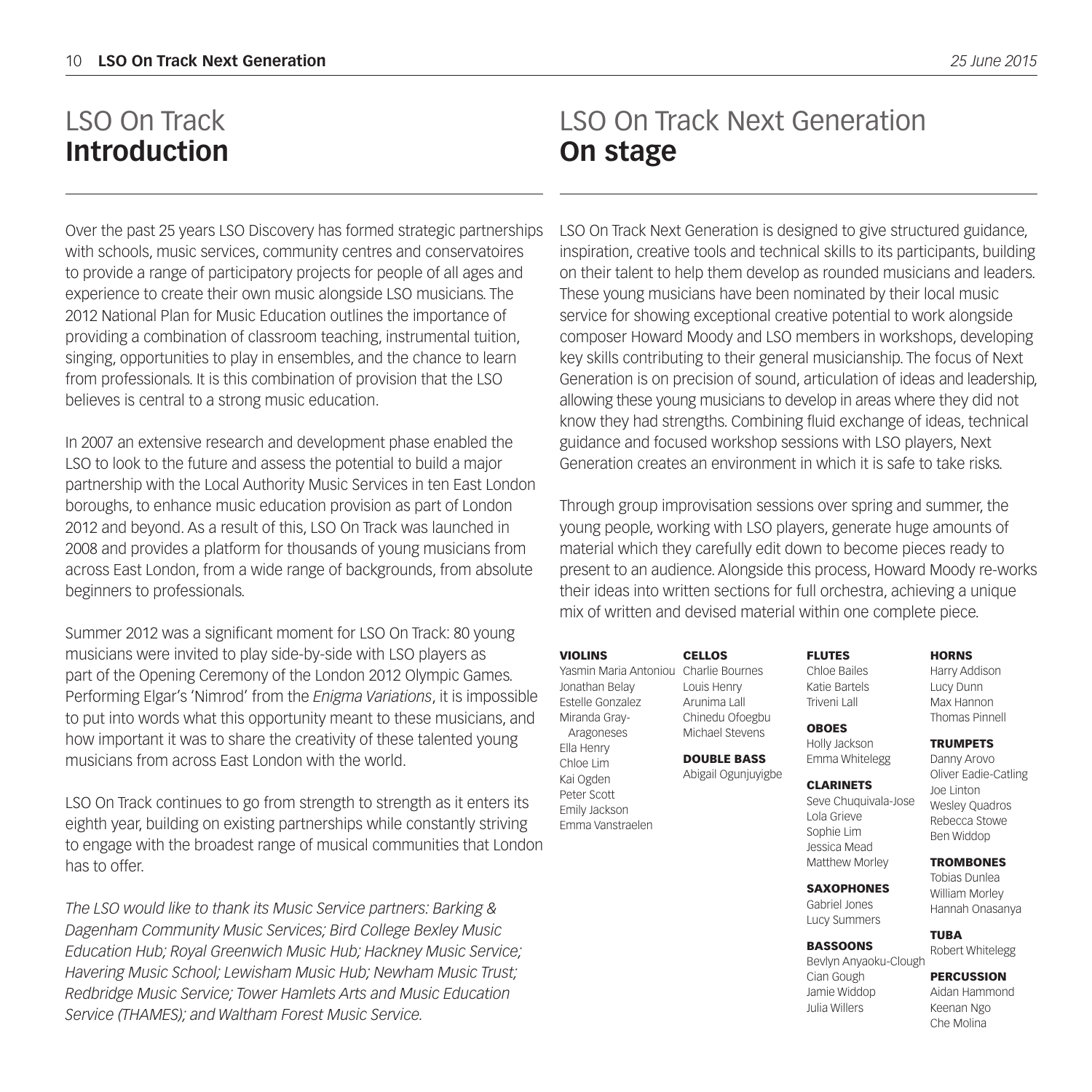## LSO On Track **Introduction**

Over the past 25 years LSO Discovery has formed strategic partnerships with schools, music services, community centres and conservatoires to provide a range of participatory projects for people of all ages and experience to create their own music alongside LSO musicians. The 2012 National Plan for Music Education outlines the importance of providing a combination of classroom teaching, instrumental tuition, singing, opportunities to play in ensembles, and the chance to learn from professionals. It is this combination of provision that the LSO believes is central to a strong music education.

In 2007 an extensive research and development phase enabled the LSO to look to the future and assess the potential to build a major partnership with the Local Authority Music Services in ten East London boroughs, to enhance music education provision as part of London 2012 and beyond. As a result of this, LSO On Track was launched in 2008 and provides a platform for thousands of young musicians from across East London, from a wide range of backgrounds, from absolute beginners to professionals.

Summer 2012 was a significant moment for LSO On Track: 80 young musicians were invited to play side-by-side with LSO players as part of the Opening Ceremony of the London 2012 Olympic Games. Performing Elgar's 'Nimrod' from the *Enigma Variations*, it is impossible to put into words what this opportunity meant to these musicians, and how important it was to share the creativity of these talented young musicians from across East London with the world.

LSO On Track continues to go from strength to strength as it enters its eighth year, building on existing partnerships while constantly striving to engage with the broadest range of musical communities that London has to offer.

*The LSO would like to thank its Music Service partners: Barking & Dagenham Community Music Services; Bird College Bexley Music Education Hub; Royal Greenwich Music Hub; Hackney Music Service; Havering Music School; Lewisham Music Hub; Newham Music Trust; Redbridge Music Service; Tower Hamlets Arts and Music Education Service (THAMES); and Waltham Forest Music Service.*

## LSO On Track Next Generation **On stage**

LSO On Track Next Generation is designed to give structured guidance, inspiration, creative tools and technical skills to its participants, building on their talent to help them develop as rounded musicians and leaders. These young musicians have been nominated by their local music service for showing exceptional creative potential to work alongside composer Howard Moody and LSO members in workshops, developing key skills contributing to their general musicianship. The focus of Next Generation is on precision of sound, articulation of ideas and leadership, allowing these young musicians to develop in areas where they did not know they had strengths. Combining fluid exchange of ideas, technical guidance and focused workshop sessions with LSO players, Next Generation creates an environment in which it is safe to take risks.

Through group improvisation sessions over spring and summer, the young people, working with LSO players, generate huge amounts of material which they carefully edit down to become pieces ready to present to an audience. Alongside this process, Howard Moody re-works their ideas into written sections for full orchestra, achieving a unique mix of written and devised material within one complete piece.

#### VIOLINS

Yasmin Maria Antoniou Charlie Bournes Jonathan Belay Estelle Gonzalez Miranda Gray- Aragoneses Ella Henry

Chloe Lim Kai Ogden Peter Scott Emily Jackson Emma Vanstraelen

CELLOS Louis Henry Arunima Lall Chinedu Ofoegbu

### Michael Stevens DOUBLE BASS

Abigail Ogunjuyigbe

#### FLUTES Chloe Bailes Katie Bartels

Emma Whitelegg

Triveni Lall OBOES

Holly Jackson

CLARINETS Seve Chuquivala-Jose Lola Grieve Sophie Lim Jessica Mead Matthew Morley

**SAXOPHONES** 

Gabriel Jones Lucy Summers

#### BASSOONS

Bevlyn Anyaoku-Clough Cian Gough Jamie Widdop Julia Willers

#### **HORNS**

Harry Addison Lucy Dunn Max Hannon Thomas Pinnell

#### TRUMPETS

Danny Arovo Oliver Eadie-Catling Joe Linton Wesley Quadros Rebecca Stowe Ben Widdop

#### **TROMBONES**

Tobias Dunlea William Morley Hannah Onasanya

TUBA Robert Whitelegg

#### PERCUSSION

Aidan Hammond Keenan Ngo Che Molina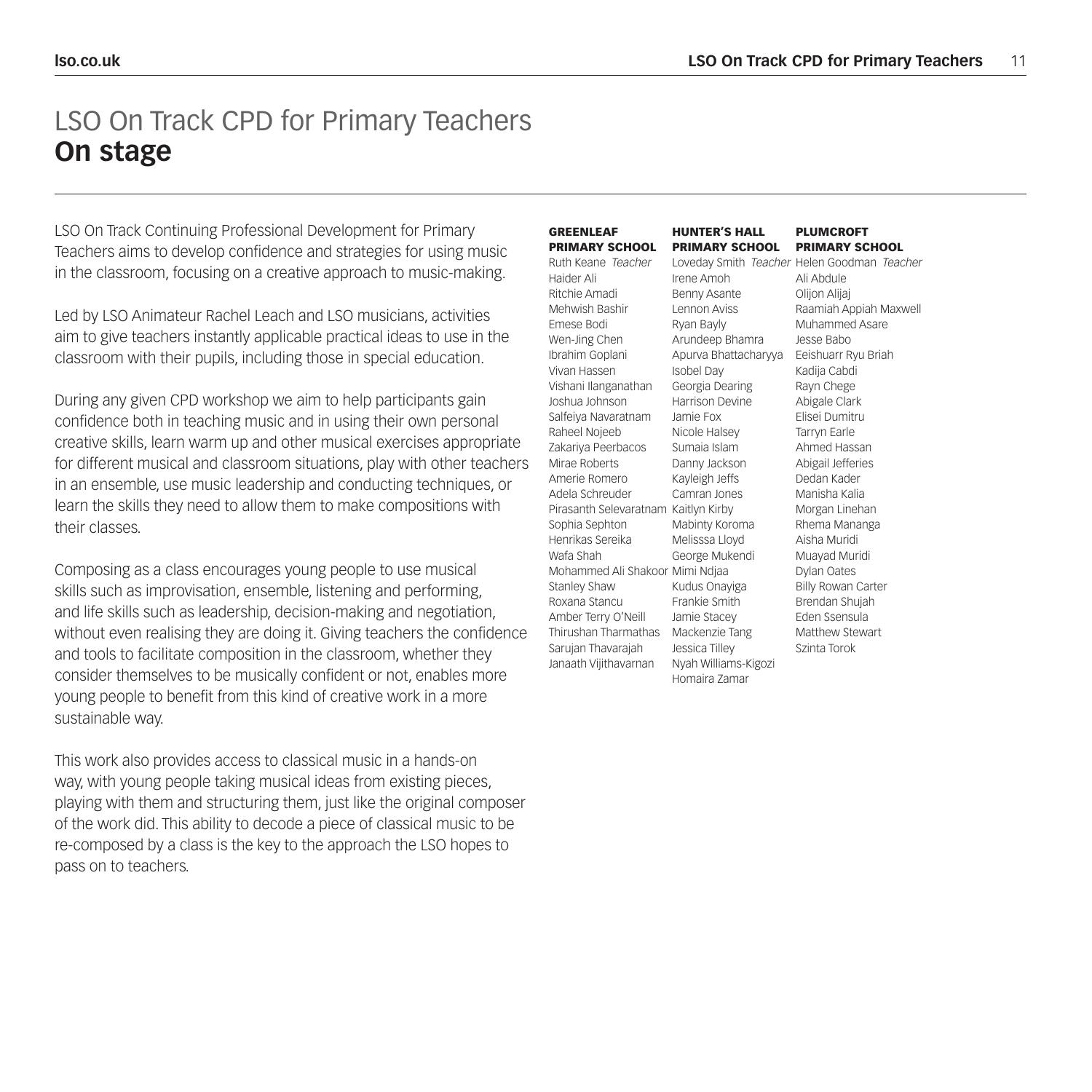### LSO On Track CPD for Primary Teachers **On stage**

LSO On Track Continuing Professional Development for Primary Teachers aims to develop confidence and strategies for using music in the classroom, focusing on a creative approach to music-making.

Led by LSO Animateur Rachel Leach and LSO musicians, activities aim to give teachers instantly applicable practical ideas to use in the classroom with their pupils, including those in special education.

During any given CPD workshop we aim to help participants gain confidence both in teaching music and in using their own personal creative skills, learn warm up and other musical exercises appropriate for different musical and classroom situations, play with other teachers in an ensemble, use music leadership and conducting techniques, or learn the skills they need to allow them to make compositions with their classes.

Composing as a class encourages young people to use musical skills such as improvisation, ensemble, listening and performing, and life skills such as leadership, decision-making and negotiation, without even realising they are doing it. Giving teachers the confidence and tools to facilitate composition in the classroom, whether they consider themselves to be musically confident or not, enables more young people to benefit from this kind of creative work in a more sustainable way.

This work also provides access to classical music in a hands-on way, with young people taking musical ideas from existing pieces, playing with them and structuring them, just like the original composer of the work did. This ability to decode a piece of classical music to be re-composed by a class is the key to the approach the LSO hopes to pass on to teachers.

|    | <b>GREENLEAF</b>                     | <b>HUNTER'S HALL</b>  | <b>PLUMCROFT</b>                            |
|----|--------------------------------------|-----------------------|---------------------------------------------|
|    | <b>PRIMARY SCHOOL</b>                | <b>PRIMARY SCHOOL</b> | <b>PRIMARY SCHOOL</b>                       |
|    | Ruth Keane Teacher                   |                       | Loveday Smith Teacher Helen Goodman Teacher |
|    | Haider Ali                           | Irene Amoh            | Ali Abdule                                  |
|    | Ritchie Amadi                        | Benny Asante          | Oliion Aliiai                               |
|    | Mehwish Bashir                       | I ennon Aviss         | Raamiah Appiah Maxwell                      |
|    | Emese Bodi                           | Ryan Bayly            | Muhammed Asare                              |
|    | Wen-Jing Chen                        | Arundeep Bhamra       | Jesse Babo                                  |
|    | Ibrahim Goplani                      | Apurva Bhattacharyya  | Eeishuarr Ryu Briah                         |
|    | Vivan Hassen                         | Isobel Day            | Kadija Cabdi                                |
|    | Vishani Ilanganathan                 | Georgia Dearing       | Rayn Chege                                  |
|    | Joshua Johnson                       | Harrison Devine       | Abigale Clark                               |
|    | Salfeiya Navaratnam                  | Jamie Fox             | Flisei Dumitru                              |
|    | Raheel Nojeeb                        | Nicole Halsev         | Tarrvn Earle                                |
|    | Zakariya Peerbacos                   | Sumaia Islam          | Ahmed Hassan                                |
| Ś. | Mirae Roberts                        | Danny Jackson         | Abigail Jefferies                           |
|    | Amerie Romero                        | Kayleigh Jeffs        | Dedan Kader                                 |
|    | Adela Schreuder                      | Camran Jones          | Manisha Kalia                               |
|    | Pirasanth Selevaratnam Kaitlyn Kirby |                       | Morgan Linehan                              |
|    | Sophia Sephton                       | Mabinty Koroma        | Rhema Mananga                               |
|    | Henrikas Sereika                     | Melisssa Lloyd        | Aisha Muridi                                |
|    | Wafa Shah                            | George Mukendi        | Muayad Muridi                               |
|    | Mohammed Ali Shakoor Mimi Ndiaa      |                       | Dylan Oates                                 |
|    | Stanlev Shaw                         | Kudus Onayiga         | <b>Billy Rowan Carter</b>                   |
|    | Roxana Stancu                        | Frankie Smith         | Brendan Shujah                              |
|    | Amber Terry O'Neill                  | Jamie Stacey          | <b>Eden Ssensula</b>                        |
| ë  | Thirushan Tharmathas                 | Mackenzie Tang        | Matthew Stewart                             |
|    | Sarujan Thavarajah                   | Jessica Tilley        | Szinta Torok                                |
|    | Janaath Vijithavarnan                | Nyah Williams-Kigozi  |                                             |
|    |                                      | Homaira Zamar         |                                             |
|    |                                      |                       |                                             |